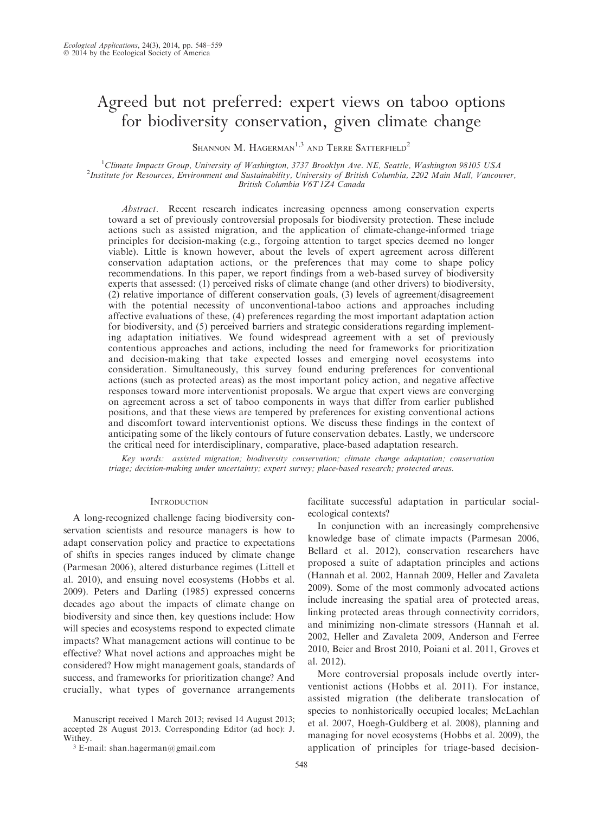# Agreed but not preferred: expert views on taboo options for biodiversity conservation, given climate change

SHANNON M. HAGERMAN<sup>1,3</sup> AND TERRE SATTERFIELD<sup>2</sup>

<sup>1</sup>Climate Impacts Group, University of Washington, 3737 Brooklyn Ave. NE, Seattle, Washington 98105 USA<br><sup>2</sup>Institute for Resources, Environment and Sustainability, University of British Columbia, 2202 Main Mall, Vancou <sup>2</sup>Institute for Resources, Environment and Sustainability, University of British Columbia, 2202 Main Mall, Vancouver, British Columbia V6T 1Z4 Canada

Abstract. Recent research indicates increasing openness among conservation experts toward a set of previously controversial proposals for biodiversity protection. These include actions such as assisted migration, and the application of climate-change-informed triage principles for decision-making (e.g., forgoing attention to target species deemed no longer viable). Little is known however, about the levels of expert agreement across different conservation adaptation actions, or the preferences that may come to shape policy recommendations. In this paper, we report findings from a web-based survey of biodiversity experts that assessed: (1) perceived risks of climate change (and other drivers) to biodiversity, (2) relative importance of different conservation goals, (3) levels of agreement/disagreement with the potential necessity of unconventional-taboo actions and approaches including affective evaluations of these, (4) preferences regarding the most important adaptation action for biodiversity, and (5) perceived barriers and strategic considerations regarding implementing adaptation initiatives. We found widespread agreement with a set of previously contentious approaches and actions, including the need for frameworks for prioritization and decision-making that take expected losses and emerging novel ecosystems into consideration. Simultaneously, this survey found enduring preferences for conventional actions (such as protected areas) as the most important policy action, and negative affective responses toward more interventionist proposals. We argue that expert views are converging on agreement across a set of taboo components in ways that differ from earlier published positions, and that these views are tempered by preferences for existing conventional actions and discomfort toward interventionist options. We discuss these findings in the context of anticipating some of the likely contours of future conservation debates. Lastly, we underscore the critical need for interdisciplinary, comparative, place-based adaptation research.

Key words: assisted migration; biodiversity conservation; climate change adaptation; conservation triage; decision-making under uncertainty; expert survey; place-based research; protected areas.

# **INTRODUCTION**

A long-recognized challenge facing biodiversity conservation scientists and resource managers is how to adapt conservation policy and practice to expectations of shifts in species ranges induced by climate change (Parmesan 2006), altered disturbance regimes (Littell et al. 2010), and ensuing novel ecosystems (Hobbs et al. 2009). Peters and Darling (1985) expressed concerns decades ago about the impacts of climate change on biodiversity and since then, key questions include: How will species and ecosystems respond to expected climate impacts? What management actions will continue to be effective? What novel actions and approaches might be considered? How might management goals, standards of success, and frameworks for prioritization change? And crucially, what types of governance arrangements

Manuscript received 1 March 2013; revised 14 August 2013; accepted 28 August 2013. Corresponding Editor (ad hoc): J. Withey.

<sup>3</sup> E-mail: shan.hagerman@gmail.com

facilitate successful adaptation in particular socialecological contexts?

In conjunction with an increasingly comprehensive knowledge base of climate impacts (Parmesan 2006, Bellard et al. 2012), conservation researchers have proposed a suite of adaptation principles and actions (Hannah et al. 2002, Hannah 2009, Heller and Zavaleta 2009). Some of the most commonly advocated actions include increasing the spatial area of protected areas, linking protected areas through connectivity corridors, and minimizing non-climate stressors (Hannah et al. 2002, Heller and Zavaleta 2009, Anderson and Ferree 2010, Beier and Brost 2010, Poiani et al. 2011, Groves et al. 2012).

More controversial proposals include overtly interventionist actions (Hobbs et al. 2011). For instance, assisted migration (the deliberate translocation of species to nonhistorically occupied locales; McLachlan et al. 2007, Hoegh-Guldberg et al. 2008), planning and managing for novel ecosystems (Hobbs et al. 2009), the application of principles for triage-based decision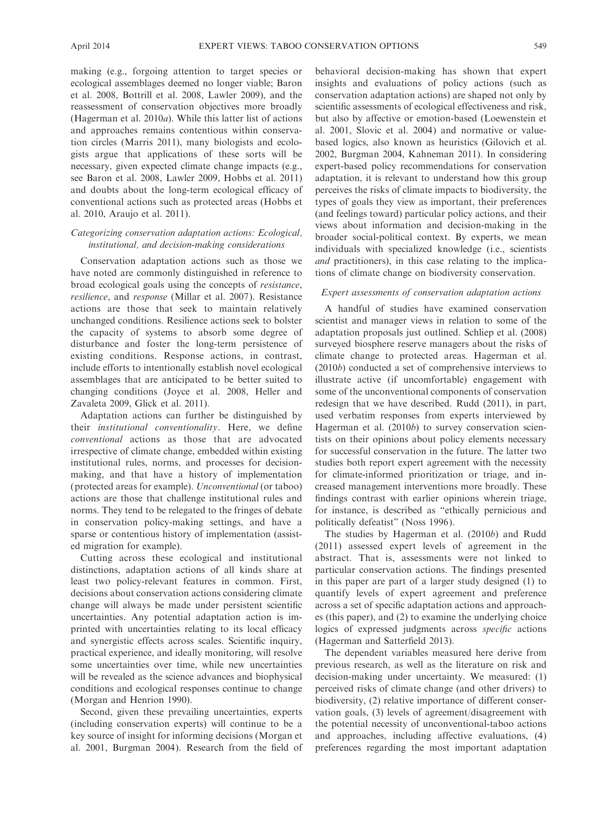making (e.g., forgoing attention to target species or ecological assemblages deemed no longer viable; Baron et al. 2008, Bottrill et al. 2008, Lawler 2009), and the reassessment of conservation objectives more broadly (Hagerman et al. 2010a). While this latter list of actions and approaches remains contentious within conservation circles (Marris 2011), many biologists and ecologists argue that applications of these sorts will be necessary, given expected climate change impacts (e.g., see Baron et al. 2008, Lawler 2009, Hobbs et al. 2011) and doubts about the long-term ecological efficacy of conventional actions such as protected areas (Hobbs et al. 2010, Araujo et al. 2011).

# Categorizing conservation adaptation actions: Ecological, institutional, and decision-making considerations

Conservation adaptation actions such as those we have noted are commonly distinguished in reference to broad ecological goals using the concepts of resistance, resilience, and response (Millar et al. 2007). Resistance actions are those that seek to maintain relatively unchanged conditions. Resilience actions seek to bolster the capacity of systems to absorb some degree of disturbance and foster the long-term persistence of existing conditions. Response actions, in contrast, include efforts to intentionally establish novel ecological assemblages that are anticipated to be better suited to changing conditions (Joyce et al. 2008, Heller and Zavaleta 2009, Glick et al. 2011).

Adaptation actions can further be distinguished by their institutional conventionality. Here, we define conventional actions as those that are advocated irrespective of climate change, embedded within existing institutional rules, norms, and processes for decisionmaking, and that have a history of implementation (protected areas for example). Unconventional (or taboo) actions are those that challenge institutional rules and norms. They tend to be relegated to the fringes of debate in conservation policy-making settings, and have a sparse or contentious history of implementation (assisted migration for example).

Cutting across these ecological and institutional distinctions, adaptation actions of all kinds share at least two policy-relevant features in common. First, decisions about conservation actions considering climate change will always be made under persistent scientific uncertainties. Any potential adaptation action is imprinted with uncertainties relating to its local efficacy and synergistic effects across scales. Scientific inquiry, practical experience, and ideally monitoring, will resolve some uncertainties over time, while new uncertainties will be revealed as the science advances and biophysical conditions and ecological responses continue to change (Morgan and Henrion 1990).

Second, given these prevailing uncertainties, experts (including conservation experts) will continue to be a key source of insight for informing decisions (Morgan et al. 2001, Burgman 2004). Research from the field of behavioral decision-making has shown that expert insights and evaluations of policy actions (such as conservation adaptation actions) are shaped not only by scientific assessments of ecological effectiveness and risk, but also by affective or emotion-based (Loewenstein et al. 2001, Slovic et al. 2004) and normative or valuebased logics, also known as heuristics (Gilovich et al. 2002, Burgman 2004, Kahneman 2011). In considering expert-based policy recommendations for conservation adaptation, it is relevant to understand how this group perceives the risks of climate impacts to biodiversity, the types of goals they view as important, their preferences (and feelings toward) particular policy actions, and their views about information and decision-making in the broader social-political context. By experts, we mean individuals with specialized knowledge (i.e., scientists and practitioners), in this case relating to the implications of climate change on biodiversity conservation.

# Expert assessments of conservation adaptation actions

A handful of studies have examined conservation scientist and manager views in relation to some of the adaptation proposals just outlined. Schliep et al. (2008) surveyed biosphere reserve managers about the risks of climate change to protected areas. Hagerman et al. (2010b) conducted a set of comprehensive interviews to illustrate active (if uncomfortable) engagement with some of the unconventional components of conservation redesign that we have described. Rudd (2011), in part, used verbatim responses from experts interviewed by Hagerman et al. (2010b) to survey conservation scientists on their opinions about policy elements necessary for successful conservation in the future. The latter two studies both report expert agreement with the necessity for climate-informed prioritization or triage, and increased management interventions more broadly. These findings contrast with earlier opinions wherein triage, for instance, is described as ''ethically pernicious and politically defeatist'' (Noss 1996).

The studies by Hagerman et al. (2010b) and Rudd (2011) assessed expert levels of agreement in the abstract. That is, assessments were not linked to particular conservation actions. The findings presented in this paper are part of a larger study designed (1) to quantify levels of expert agreement and preference across a set of specific adaptation actions and approaches (this paper), and (2) to examine the underlying choice logics of expressed judgments across specific actions (Hagerman and Satterfield 2013).

The dependent variables measured here derive from previous research, as well as the literature on risk and decision-making under uncertainty. We measured: (1) perceived risks of climate change (and other drivers) to biodiversity, (2) relative importance of different conservation goals, (3) levels of agreement/disagreement with the potential necessity of unconventional-taboo actions and approaches, including affective evaluations, (4) preferences regarding the most important adaptation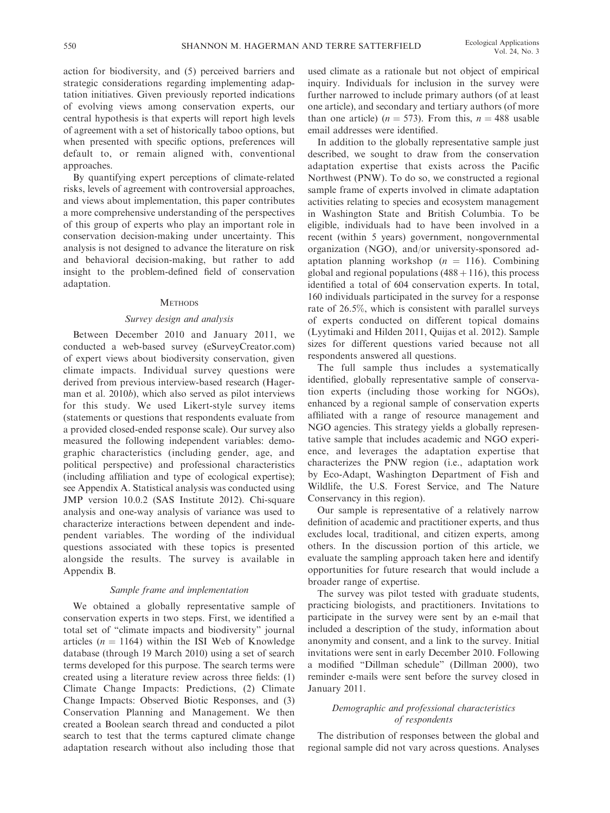action for biodiversity, and (5) perceived barriers and strategic considerations regarding implementing adaptation initiatives. Given previously reported indications of evolving views among conservation experts, our central hypothesis is that experts will report high levels of agreement with a set of historically taboo options, but when presented with specific options, preferences will default to, or remain aligned with, conventional approaches.

By quantifying expert perceptions of climate-related risks, levels of agreement with controversial approaches, and views about implementation, this paper contributes a more comprehensive understanding of the perspectives of this group of experts who play an important role in conservation decision-making under uncertainty. This analysis is not designed to advance the literature on risk and behavioral decision-making, but rather to add insight to the problem-defined field of conservation adaptation.

#### **METHODS**

#### Survey design and analysis

Between December 2010 and January 2011, we conducted a web-based survey (eSurveyCreator.com) of expert views about biodiversity conservation, given climate impacts. Individual survey questions were derived from previous interview-based research (Hagerman et al. 2010b), which also served as pilot interviews for this study. We used Likert-style survey items (statements or questions that respondents evaluate from a provided closed-ended response scale). Our survey also measured the following independent variables: demographic characteristics (including gender, age, and political perspective) and professional characteristics (including affiliation and type of ecological expertise); see Appendix A. Statistical analysis was conducted using JMP version 10.0.2 (SAS Institute 2012). Chi-square analysis and one-way analysis of variance was used to characterize interactions between dependent and independent variables. The wording of the individual questions associated with these topics is presented alongside the results. The survey is available in Appendix B.

#### Sample frame and implementation

We obtained a globally representative sample of conservation experts in two steps. First, we identified a total set of ''climate impacts and biodiversity'' journal articles ( $n = 1164$ ) within the ISI Web of Knowledge database (through 19 March 2010) using a set of search terms developed for this purpose. The search terms were created using a literature review across three fields: (1) Climate Change Impacts: Predictions, (2) Climate Change Impacts: Observed Biotic Responses, and (3) Conservation Planning and Management. We then created a Boolean search thread and conducted a pilot search to test that the terms captured climate change adaptation research without also including those that used climate as a rationale but not object of empirical inquiry. Individuals for inclusion in the survey were further narrowed to include primary authors (of at least one article), and secondary and tertiary authors (of more than one article) ( $n = 573$ ). From this,  $n = 488$  usable email addresses were identified.

In addition to the globally representative sample just described, we sought to draw from the conservation adaptation expertise that exists across the Pacific Northwest (PNW). To do so, we constructed a regional sample frame of experts involved in climate adaptation activities relating to species and ecosystem management in Washington State and British Columbia. To be eligible, individuals had to have been involved in a recent (within 5 years) government, nongovernmental organization (NGO), and/or university-sponsored adaptation planning workshop ( $n = 116$ ). Combining global and regional populations  $(488 + 116)$ , this process identified a total of 604 conservation experts. In total, 160 individuals participated in the survey for a response rate of 26.5%, which is consistent with parallel surveys of experts conducted on different topical domains (Lyytimaki and Hilden 2011, Quijas et al. 2012). Sample sizes for different questions varied because not all respondents answered all questions.

The full sample thus includes a systematically identified, globally representative sample of conservation experts (including those working for NGOs), enhanced by a regional sample of conservation experts affiliated with a range of resource management and NGO agencies. This strategy yields a globally representative sample that includes academic and NGO experience, and leverages the adaptation expertise that characterizes the PNW region (i.e., adaptation work by Eco-Adapt, Washington Department of Fish and Wildlife, the U.S. Forest Service, and The Nature Conservancy in this region).

Our sample is representative of a relatively narrow definition of academic and practitioner experts, and thus excludes local, traditional, and citizen experts, among others. In the discussion portion of this article, we evaluate the sampling approach taken here and identify opportunities for future research that would include a broader range of expertise.

The survey was pilot tested with graduate students, practicing biologists, and practitioners. Invitations to participate in the survey were sent by an e-mail that included a description of the study, information about anonymity and consent, and a link to the survey. Initial invitations were sent in early December 2010. Following a modified ''Dillman schedule'' (Dillman 2000), two reminder e-mails were sent before the survey closed in January 2011.

# Demographic and professional characteristics of respondents

The distribution of responses between the global and regional sample did not vary across questions. Analyses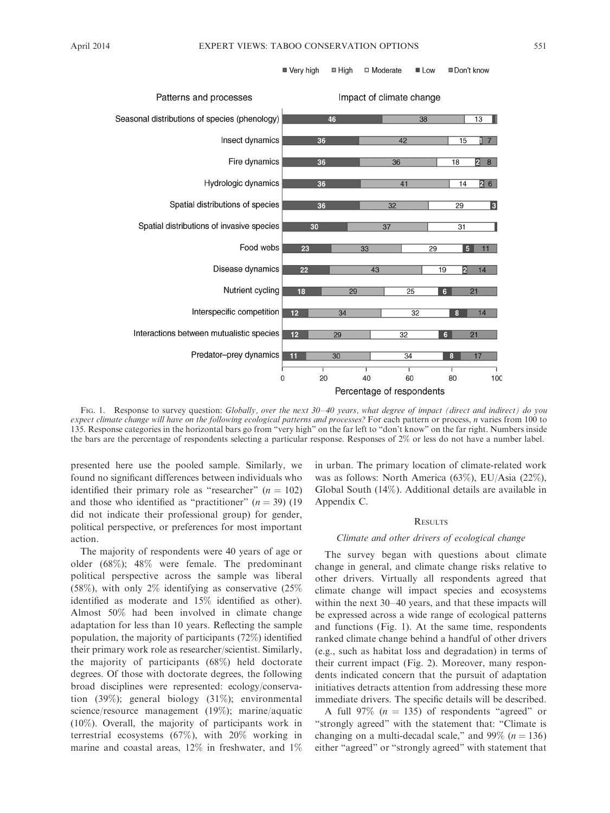$\blacksquare$  High

□ Moderate

 $\blacksquare$  Low

■Don't know

■ Very high



FIG. 1. Response to survey question: Globally, over the next 30-40 years, what degree of impact (direct and indirect) do you expect climate change will have on the following ecological patterns and processes? For each pattern or process, n varies from 100 to 135. Response categories in the horizontal bars go from ''very high'' on the far left to ''don't know'' on the far right. Numbers inside the bars are the percentage of respondents selecting a particular response. Responses of 2% or less do not have a number label.

presented here use the pooled sample. Similarly, we found no significant differences between individuals who identified their primary role as "researcher" ( $n = 102$ ) and those who identified as "practitioner" ( $n = 39$ ) (19) did not indicate their professional group) for gender, political perspective, or preferences for most important action.

The majority of respondents were 40 years of age or older (68%); 48% were female. The predominant political perspective across the sample was liberal (58%), with only 2% identifying as conservative (25% identified as moderate and 15% identified as other). Almost 50% had been involved in climate change adaptation for less than 10 years. Reflecting the sample population, the majority of participants (72%) identified their primary work role as researcher/scientist. Similarly, the majority of participants (68%) held doctorate degrees. Of those with doctorate degrees, the following broad disciplines were represented: ecology/conservation (39%); general biology (31%); environmental science/resource management (19%); marine/aquatic (10%). Overall, the majority of participants work in terrestrial ecosystems (67%), with 20% working in marine and coastal areas, 12% in freshwater, and 1% in urban. The primary location of climate-related work was as follows: North America (63%), EU/Asia (22%), Global South (14%). Additional details are available in Appendix C.

## **RESULTS**

# Climate and other drivers of ecological change

The survey began with questions about climate change in general, and climate change risks relative to other drivers. Virtually all respondents agreed that climate change will impact species and ecosystems within the next 30–40 years, and that these impacts will be expressed across a wide range of ecological patterns and functions (Fig. 1). At the same time, respondents ranked climate change behind a handful of other drivers (e.g., such as habitat loss and degradation) in terms of their current impact (Fig. 2). Moreover, many respondents indicated concern that the pursuit of adaptation initiatives detracts attention from addressing these more immediate drivers. The specific details will be described.

A full 97% ( $n = 135$ ) of respondents "agreed" or ''strongly agreed'' with the statement that: ''Climate is changing on a multi-decadal scale," and 99% ( $n = 136$ ) either "agreed" or "strongly agreed" with statement that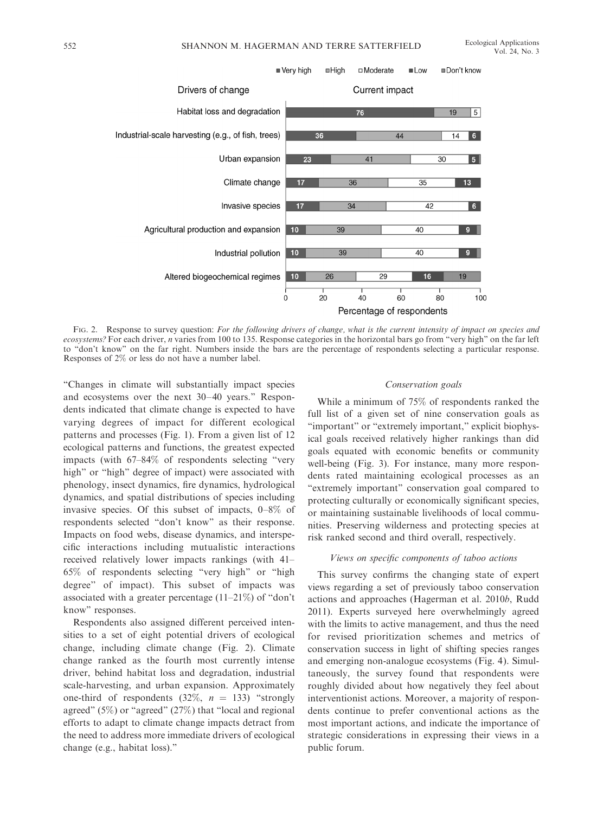

FIG. 2. Response to survey question: For the following drivers of change, what is the current intensity of impact on species and ecosystems? For each driver, n varies from 100 to 135. Response categories in the horizontal bars go from "very high" on the far left to "don't know" on the far right. Numbers inside the bars are the percentage of respondents selecting a particular response. Responses of 2% or less do not have a number label.

''Changes in climate will substantially impact species and ecosystems over the next 30–40 years.'' Respondents indicated that climate change is expected to have varying degrees of impact for different ecological patterns and processes (Fig. 1). From a given list of 12 ecological patterns and functions, the greatest expected impacts (with 67–84% of respondents selecting ''very high'' or ''high'' degree of impact) were associated with phenology, insect dynamics, fire dynamics, hydrological dynamics, and spatial distributions of species including invasive species. Of this subset of impacts, 0–8% of respondents selected ''don't know'' as their response. Impacts on food webs, disease dynamics, and interspecific interactions including mutualistic interactions received relatively lower impacts rankings (with 41– 65% of respondents selecting ''very high'' or ''high degree'' of impact). This subset of impacts was associated with a greater percentage  $(11–21\%)$  of "don't know'' responses.

Respondents also assigned different perceived intensities to a set of eight potential drivers of ecological change, including climate change (Fig. 2). Climate change ranked as the fourth most currently intense driver, behind habitat loss and degradation, industrial scale-harvesting, and urban expansion. Approximately one-third of respondents (32%,  $n = 133$ ) "strongly agreed'' (5%) or ''agreed'' (27%) that ''local and regional efforts to adapt to climate change impacts detract from the need to address more immediate drivers of ecological change (e.g., habitat loss).''

#### Conservation goals

While a minimum of 75% of respondents ranked the full list of a given set of nine conservation goals as "important" or "extremely important," explicit biophysical goals received relatively higher rankings than did goals equated with economic benefits or community well-being (Fig. 3). For instance, many more respondents rated maintaining ecological processes as an "extremely important" conservation goal compared to protecting culturally or economically significant species, or maintaining sustainable livelihoods of local communities. Preserving wilderness and protecting species at risk ranked second and third overall, respectively.

### Views on specific components of taboo actions

This survey confirms the changing state of expert views regarding a set of previously taboo conservation actions and approaches (Hagerman et al. 2010b, Rudd 2011). Experts surveyed here overwhelmingly agreed with the limits to active management, and thus the need for revised prioritization schemes and metrics of conservation success in light of shifting species ranges and emerging non-analogue ecosystems (Fig. 4). Simultaneously, the survey found that respondents were roughly divided about how negatively they feel about interventionist actions. Moreover, a majority of respondents continue to prefer conventional actions as the most important actions, and indicate the importance of strategic considerations in expressing their views in a public forum.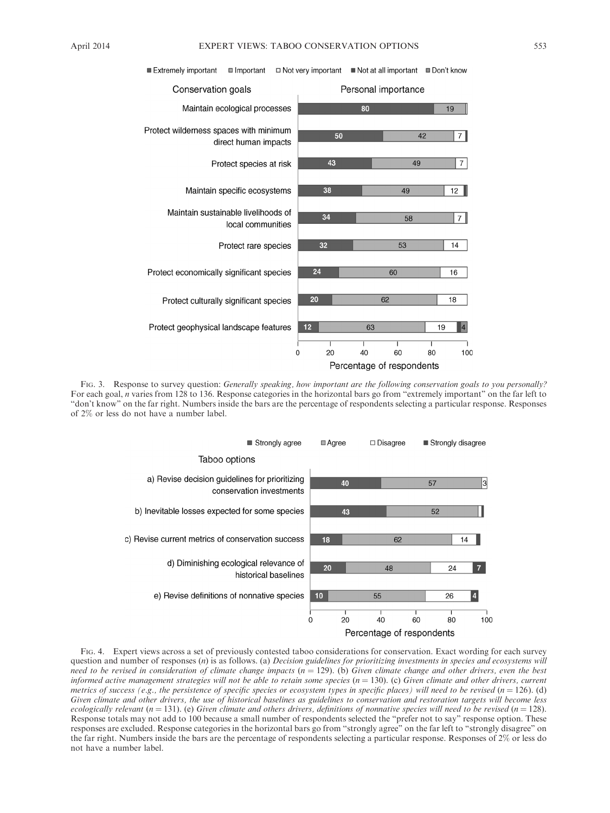

FIG. 3. Response to survey question: Generally speaking, how important are the following conservation goals to you personally? For each goal, n varies from 128 to 136. Response categories in the horizontal bars go from "extremely important" on the far left to ''don't know'' on the far right. Numbers inside the bars are the percentage of respondents selecting a particular response. Responses of 2% or less do not have a number label.



FIG. 4. Expert views across a set of previously contested taboo considerations for conservation. Exact wording for each survey question and number of responses  $(n)$  is as follows. (a) *Decision guidelines for prioritizing investments in species and ecosystems will* need to be revised in consideration of climate change impacts  $(n = 129)$ . (b) Given climate change and other drivers, even the best informed active management strategies will not be able to retain some species  $(n = 130)$ . (c) Given climate and other drivers, current metrics of success (e.g., the persistence of specific species or ecosystem types in specific places) will need to be revised ( $n = 126$ ). (d) Given climate and other drivers, the use of historical baselines as guidelines to conservation and restoration targets will become less ecologically relevant ( $n = 131$ ). (e) Given climate and others drivers, definitions of nonnative species will need to be revised ( $n = 128$ ). Response totals may not add to 100 because a small number of respondents selected the ''prefer not to say'' response option. These responses are excluded. Response categories in the horizontal bars go from ''strongly agree'' on the far left to ''strongly disagree'' on the far right. Numbers inside the bars are the percentage of respondents selecting a particular response. Responses of 2% or less do not have a number label.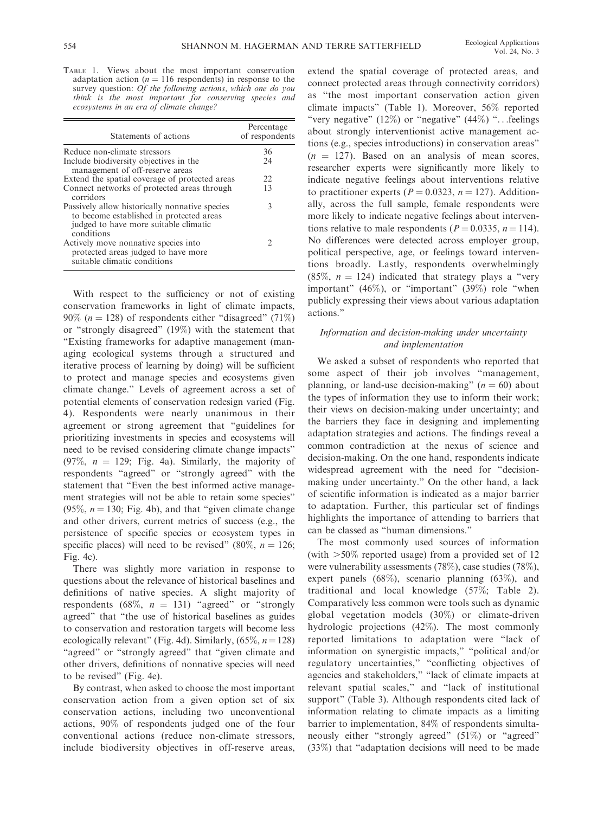TABLE 1. Views about the most important conservation adaptation action ( $n = 116$  respondents) in response to the survey question: Of the following actions, which one do you think is the most important for conserving species and ecosystems in an era of climate change?

| Percentage<br>of respondents |
|------------------------------|
| 36                           |
| 24                           |
| 22                           |
| 13                           |
| 3                            |
| 2                            |
|                              |

With respect to the sufficiency or not of existing conservation frameworks in light of climate impacts, 90% ( $n = 128$ ) of respondents either "disagreed" (71%) or ''strongly disagreed'' (19%) with the statement that ''Existing frameworks for adaptive management (managing ecological systems through a structured and iterative process of learning by doing) will be sufficient to protect and manage species and ecosystems given climate change.'' Levels of agreement across a set of potential elements of conservation redesign varied (Fig. 4). Respondents were nearly unanimous in their agreement or strong agreement that ''guidelines for prioritizing investments in species and ecosystems will need to be revised considering climate change impacts'' (97%,  $n = 129$ ; Fig. 4a). Similarly, the majority of respondents ''agreed'' or ''strongly agreed'' with the statement that ''Even the best informed active management strategies will not be able to retain some species'' (95%,  $n = 130$ ; Fig. 4b), and that "given climate change" and other drivers, current metrics of success (e.g., the persistence of specific species or ecosystem types in specific places) will need to be revised" (80%,  $n = 126$ ; Fig. 4c).

There was slightly more variation in response to questions about the relevance of historical baselines and definitions of native species. A slight majority of respondents (68%,  $n = 131$ ) "agreed" or "strongly agreed'' that ''the use of historical baselines as guides to conservation and restoration targets will become less ecologically relevant" (Fig. 4d). Similarly,  $(65\%, n=128)$ "agreed" or "strongly agreed" that "given climate and other drivers, definitions of nonnative species will need to be revised'' (Fig. 4e).

By contrast, when asked to choose the most important conservation action from a given option set of six conservation actions, including two unconventional actions, 90% of respondents judged one of the four conventional actions (reduce non-climate stressors, include biodiversity objectives in off-reserve areas, extend the spatial coverage of protected areas, and connect protected areas through connectivity corridors) as ''the most important conservation action given climate impacts'' (Table 1). Moreover, 56% reported "very negative"  $(12\%)$  or "negative"  $(44\%)$  "...feelings about strongly interventionist active management actions (e.g., species introductions) in conservation areas''  $(n = 127)$ . Based on an analysis of mean scores, researcher experts were significantly more likely to indicate negative feelings about interventions relative to practitioner experts ( $P = 0.0323$ ,  $n = 127$ ). Additionally, across the full sample, female respondents were more likely to indicate negative feelings about interventions relative to male respondents ( $P = 0.0335$ ,  $n = 114$ ). No differences were detected across employer group, political perspective, age, or feelings toward interventions broadly. Lastly, respondents overwhelmingly (85%,  $n = 124$ ) indicated that strategy plays a "very important" (46%), or "important" (39%) role "when publicly expressing their views about various adaptation actions.''

# Information and decision-making under uncertainty and implementation

We asked a subset of respondents who reported that some aspect of their job involves ''management, planning, or land-use decision-making" ( $n = 60$ ) about the types of information they use to inform their work; their views on decision-making under uncertainty; and the barriers they face in designing and implementing adaptation strategies and actions. The findings reveal a common contradiction at the nexus of science and decision-making. On the one hand, respondents indicate widespread agreement with the need for ''decisionmaking under uncertainty.'' On the other hand, a lack of scientific information is indicated as a major barrier to adaptation. Further, this particular set of findings highlights the importance of attending to barriers that can be classed as ''human dimensions.''

The most commonly used sources of information (with  $>50\%$  reported usage) from a provided set of 12 were vulnerability assessments (78%), case studies (78%), expert panels (68%), scenario planning (63%), and traditional and local knowledge (57%; Table 2). Comparatively less common were tools such as dynamic global vegetation models (30%) or climate-driven hydrologic projections (42%). The most commonly reported limitations to adaptation were ''lack of information on synergistic impacts,'' ''political and/or regulatory uncertainties,'' ''conflicting objectives of agencies and stakeholders,'' ''lack of climate impacts at relevant spatial scales,'' and ''lack of institutional support'' (Table 3). Although respondents cited lack of information relating to climate impacts as a limiting barrier to implementation, 84% of respondents simultaneously either ''strongly agreed'' (51%) or ''agreed'' (33%) that ''adaptation decisions will need to be made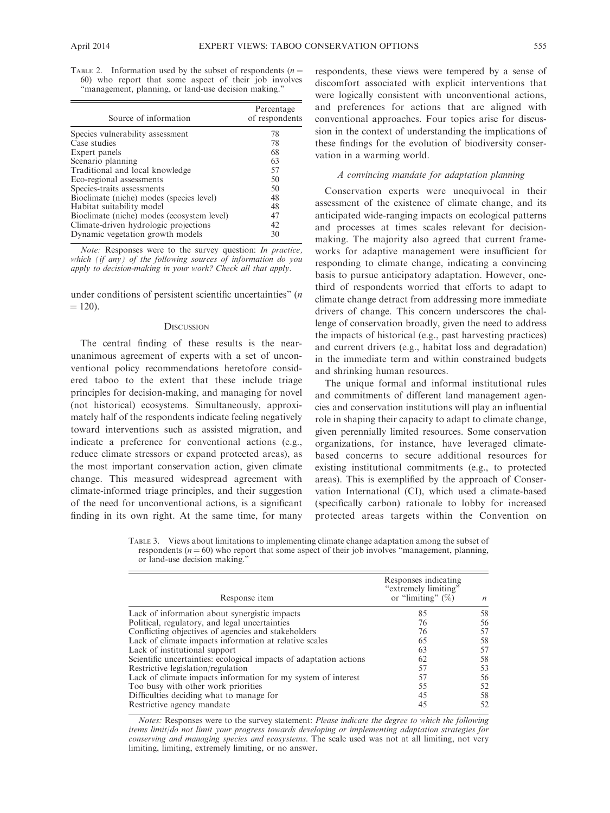TABLE 2. Information used by the subset of respondents  $(n =$ 60) who report that some aspect of their job involves ''management, planning, or land-use decision making.''

| Source of information                      | Percentage<br>of respondents |
|--------------------------------------------|------------------------------|
| Species vulnerability assessment           | 78                           |
| Case studies                               | 78                           |
| Expert panels                              | 68                           |
| Scenario planning                          | 63                           |
| Traditional and local knowledge            | 57                           |
| Eco-regional assessments                   | 50                           |
| Species-traits assessments                 | 50                           |
| Bioclimate (niche) modes (species level)   | 48                           |
| Habitat suitability model                  | 48                           |
| Bioclimate (niche) modes (ecosystem level) | 47                           |
| Climate-driven hydrologic projections      | 42                           |
| Dynamic vegetation growth models           | 30                           |

Note: Responses were to the survey question: In practice, which (if any) of the following sources of information do you apply to decision-making in your work? Check all that apply.

under conditions of persistent scientific uncertainties'' (n  $= 120$ .

#### **DISCUSSION**

The central finding of these results is the nearunanimous agreement of experts with a set of unconventional policy recommendations heretofore considered taboo to the extent that these include triage principles for decision-making, and managing for novel (not historical) ecosystems. Simultaneously, approximately half of the respondents indicate feeling negatively toward interventions such as assisted migration, and indicate a preference for conventional actions (e.g., reduce climate stressors or expand protected areas), as the most important conservation action, given climate change. This measured widespread agreement with climate-informed triage principles, and their suggestion of the need for unconventional actions, is a significant finding in its own right. At the same time, for many respondents, these views were tempered by a sense of discomfort associated with explicit interventions that were logically consistent with unconventional actions, and preferences for actions that are aligned with conventional approaches. Four topics arise for discussion in the context of understanding the implications of these findings for the evolution of biodiversity conservation in a warming world.

# A convincing mandate for adaptation planning

Conservation experts were unequivocal in their assessment of the existence of climate change, and its anticipated wide-ranging impacts on ecological patterns and processes at times scales relevant for decisionmaking. The majority also agreed that current frameworks for adaptive management were insufficient for responding to climate change, indicating a convincing basis to pursue anticipatory adaptation. However, onethird of respondents worried that efforts to adapt to climate change detract from addressing more immediate drivers of change. This concern underscores the challenge of conservation broadly, given the need to address the impacts of historical (e.g., past harvesting practices) and current drivers (e.g., habitat loss and degradation) in the immediate term and within constrained budgets and shrinking human resources.

The unique formal and informal institutional rules and commitments of different land management agencies and conservation institutions will play an influential role in shaping their capacity to adapt to climate change, given perennially limited resources. Some conservation organizations, for instance, have leveraged climatebased concerns to secure additional resources for existing institutional commitments (e.g., to protected areas). This is exemplified by the approach of Conservation International (CI), which used a climate-based (specifically carbon) rationale to lobby for increased protected areas targets within the Convention on

TABLE 3. Views about limitations to implementing climate change adaptation among the subset of respondents ( $n = 60$ ) who report that some aspect of their job involves "management, planning, or land-use decision making.''

|                                                                    | Responses indicating<br>"extremely limiting" |                  |
|--------------------------------------------------------------------|----------------------------------------------|------------------|
| Response item                                                      | or "limiting" $(\%)$                         | $\boldsymbol{n}$ |
| Lack of information about synergistic impacts                      | 85                                           | 58               |
| Political, regulatory, and legal uncertainties                     | 76                                           | 56               |
| Conflicting objectives of agencies and stakeholders                | 76                                           | 57               |
| Lack of climate impacts information at relative scales             | 65                                           | 58               |
| Lack of institutional support                                      | 63                                           | 57               |
| Scientific uncertainties: ecological impacts of adaptation actions | 62                                           | 58               |
| Restrictive legislation/regulation                                 | 57                                           | 53               |
| Lack of climate impacts information for my system of interest      | 57                                           | 56               |
| Too busy with other work priorities                                | 55                                           | 52               |
| Difficulties deciding what to manage for                           | 45                                           | 58               |
| Restrictive agency mandate                                         | 45                                           | 52               |

Notes: Responses were to the survey statement: Please indicate the degree to which the following items limit/do not limit your progress towards developing or implementing adaptation strategies for conserving and managing species and ecosystems. The scale used was not at all limiting, not very limiting, limiting, extremely limiting, or no answer.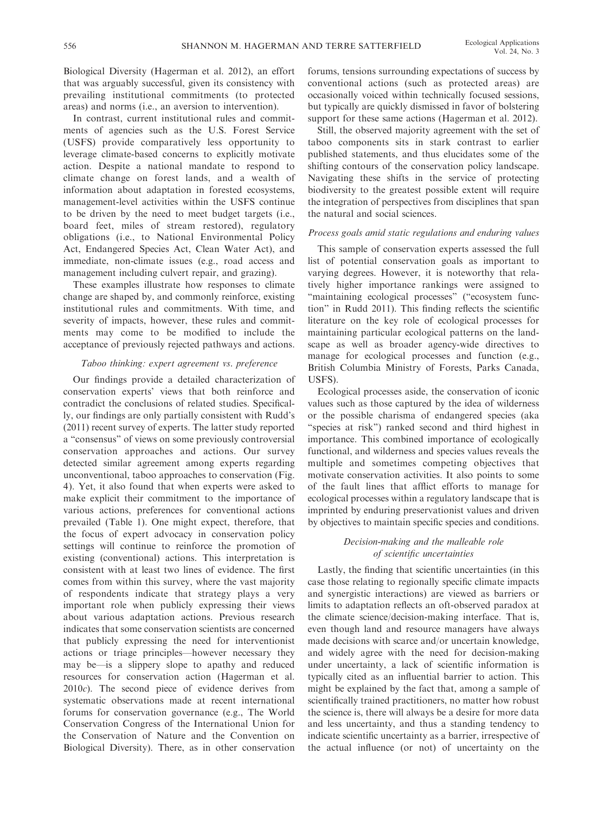Vol. 24, No. 3

Biological Diversity (Hagerman et al. 2012), an effort that was arguably successful, given its consistency with prevailing institutional commitments (to protected areas) and norms (i.e., an aversion to intervention).

In contrast, current institutional rules and commitments of agencies such as the U.S. Forest Service (USFS) provide comparatively less opportunity to leverage climate-based concerns to explicitly motivate action. Despite a national mandate to respond to climate change on forest lands, and a wealth of information about adaptation in forested ecosystems, management-level activities within the USFS continue to be driven by the need to meet budget targets (i.e., board feet, miles of stream restored), regulatory obligations (i.e., to National Environmental Policy Act, Endangered Species Act, Clean Water Act), and immediate, non-climate issues (e.g., road access and management including culvert repair, and grazing).

These examples illustrate how responses to climate change are shaped by, and commonly reinforce, existing institutional rules and commitments. With time, and severity of impacts, however, these rules and commitments may come to be modified to include the acceptance of previously rejected pathways and actions.

# Taboo thinking: expert agreement vs. preference

Our findings provide a detailed characterization of conservation experts' views that both reinforce and contradict the conclusions of related studies. Specifically, our findings are only partially consistent with Rudd's (2011) recent survey of experts. The latter study reported a ''consensus'' of views on some previously controversial conservation approaches and actions. Our survey detected similar agreement among experts regarding unconventional, taboo approaches to conservation (Fig. 4). Yet, it also found that when experts were asked to make explicit their commitment to the importance of various actions, preferences for conventional actions prevailed (Table 1). One might expect, therefore, that the focus of expert advocacy in conservation policy settings will continue to reinforce the promotion of existing (conventional) actions. This interpretation is consistent with at least two lines of evidence. The first comes from within this survey, where the vast majority of respondents indicate that strategy plays a very important role when publicly expressing their views about various adaptation actions. Previous research indicates that some conservation scientists are concerned that publicly expressing the need for interventionist actions or triage principles—however necessary they may be—is a slippery slope to apathy and reduced resources for conservation action (Hagerman et al.  $2010c$ . The second piece of evidence derives from systematic observations made at recent international forums for conservation governance (e.g., The World Conservation Congress of the International Union for the Conservation of Nature and the Convention on Biological Diversity). There, as in other conservation

forums, tensions surrounding expectations of success by conventional actions (such as protected areas) are occasionally voiced within technically focused sessions, but typically are quickly dismissed in favor of bolstering support for these same actions (Hagerman et al. 2012).

Still, the observed majority agreement with the set of taboo components sits in stark contrast to earlier published statements, and thus elucidates some of the shifting contours of the conservation policy landscape. Navigating these shifts in the service of protecting biodiversity to the greatest possible extent will require the integration of perspectives from disciplines that span the natural and social sciences.

# Process goals amid static regulations and enduring values

This sample of conservation experts assessed the full list of potential conservation goals as important to varying degrees. However, it is noteworthy that relatively higher importance rankings were assigned to "maintaining ecological processes" ("ecosystem function'' in Rudd 2011). This finding reflects the scientific literature on the key role of ecological processes for maintaining particular ecological patterns on the landscape as well as broader agency-wide directives to manage for ecological processes and function (e.g., British Columbia Ministry of Forests, Parks Canada, USFS).

Ecological processes aside, the conservation of iconic values such as those captured by the idea of wilderness or the possible charisma of endangered species (aka ''species at risk'') ranked second and third highest in importance. This combined importance of ecologically functional, and wilderness and species values reveals the multiple and sometimes competing objectives that motivate conservation activities. It also points to some of the fault lines that afflict efforts to manage for ecological processes within a regulatory landscape that is imprinted by enduring preservationist values and driven by objectives to maintain specific species and conditions.

# Decision-making and the malleable role of scientific uncertainties

Lastly, the finding that scientific uncertainties (in this case those relating to regionally specific climate impacts and synergistic interactions) are viewed as barriers or limits to adaptation reflects an oft-observed paradox at the climate science/decision-making interface. That is, even though land and resource managers have always made decisions with scarce and/or uncertain knowledge, and widely agree with the need for decision-making under uncertainty, a lack of scientific information is typically cited as an influential barrier to action. This might be explained by the fact that, among a sample of scientifically trained practitioners, no matter how robust the science is, there will always be a desire for more data and less uncertainty, and thus a standing tendency to indicate scientific uncertainty as a barrier, irrespective of the actual influence (or not) of uncertainty on the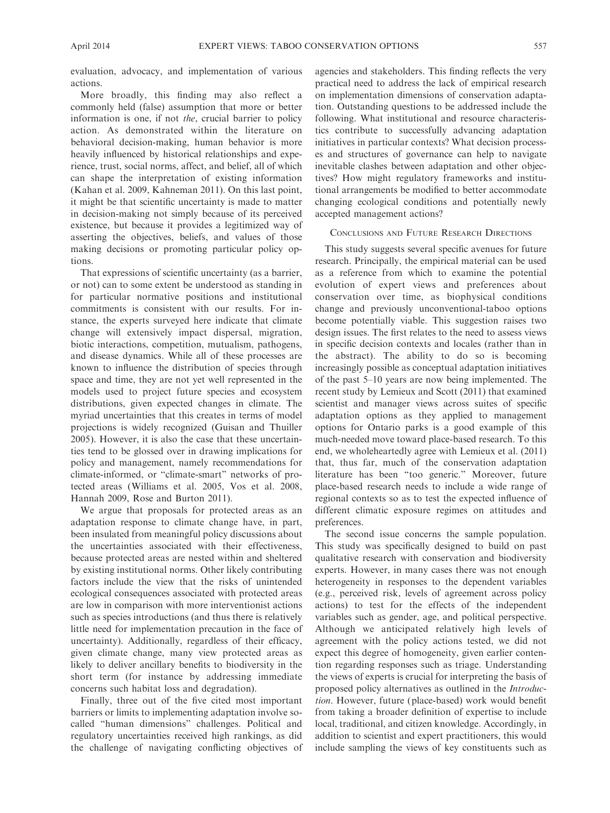evaluation, advocacy, and implementation of various actions.

More broadly, this finding may also reflect a commonly held (false) assumption that more or better information is one, if not the, crucial barrier to policy action. As demonstrated within the literature on behavioral decision-making, human behavior is more heavily influenced by historical relationships and experience, trust, social norms, affect, and belief, all of which can shape the interpretation of existing information (Kahan et al. 2009, Kahneman 2011). On this last point, it might be that scientific uncertainty is made to matter in decision-making not simply because of its perceived existence, but because it provides a legitimized way of asserting the objectives, beliefs, and values of those making decisions or promoting particular policy options.

That expressions of scientific uncertainty (as a barrier, or not) can to some extent be understood as standing in for particular normative positions and institutional commitments is consistent with our results. For instance, the experts surveyed here indicate that climate change will extensively impact dispersal, migration, biotic interactions, competition, mutualism, pathogens, and disease dynamics. While all of these processes are known to influence the distribution of species through space and time, they are not yet well represented in the models used to project future species and ecosystem distributions, given expected changes in climate. The myriad uncertainties that this creates in terms of model projections is widely recognized (Guisan and Thuiller 2005). However, it is also the case that these uncertainties tend to be glossed over in drawing implications for policy and management, namely recommendations for climate-informed, or ''climate-smart'' networks of protected areas (Williams et al. 2005, Vos et al. 2008, Hannah 2009, Rose and Burton 2011).

We argue that proposals for protected areas as an adaptation response to climate change have, in part, been insulated from meaningful policy discussions about the uncertainties associated with their effectiveness, because protected areas are nested within and sheltered by existing institutional norms. Other likely contributing factors include the view that the risks of unintended ecological consequences associated with protected areas are low in comparison with more interventionist actions such as species introductions (and thus there is relatively little need for implementation precaution in the face of uncertainty). Additionally, regardless of their efficacy, given climate change, many view protected areas as likely to deliver ancillary benefits to biodiversity in the short term (for instance by addressing immediate concerns such habitat loss and degradation).

Finally, three out of the five cited most important barriers or limits to implementing adaptation involve socalled ''human dimensions'' challenges. Political and regulatory uncertainties received high rankings, as did the challenge of navigating conflicting objectives of agencies and stakeholders. This finding reflects the very practical need to address the lack of empirical research on implementation dimensions of conservation adaptation. Outstanding questions to be addressed include the following. What institutional and resource characteristics contribute to successfully advancing adaptation initiatives in particular contexts? What decision processes and structures of governance can help to navigate inevitable clashes between adaptation and other objectives? How might regulatory frameworks and institutional arrangements be modified to better accommodate changing ecological conditions and potentially newly accepted management actions?

## CONCLUSIONS AND FUTURE RESEARCH DIRECTIONS

This study suggests several specific avenues for future research. Principally, the empirical material can be used as a reference from which to examine the potential evolution of expert views and preferences about conservation over time, as biophysical conditions change and previously unconventional-taboo options become potentially viable. This suggestion raises two design issues. The first relates to the need to assess views in specific decision contexts and locales (rather than in the abstract). The ability to do so is becoming increasingly possible as conceptual adaptation initiatives of the past 5–10 years are now being implemented. The recent study by Lemieux and Scott (2011) that examined scientist and manager views across suites of specific adaptation options as they applied to management options for Ontario parks is a good example of this much-needed move toward place-based research. To this end, we wholeheartedly agree with Lemieux et al. (2011) that, thus far, much of the conservation adaptation literature has been ''too generic.'' Moreover, future place-based research needs to include a wide range of regional contexts so as to test the expected influence of different climatic exposure regimes on attitudes and preferences.

The second issue concerns the sample population. This study was specifically designed to build on past qualitative research with conservation and biodiversity experts. However, in many cases there was not enough heterogeneity in responses to the dependent variables (e.g., perceived risk, levels of agreement across policy actions) to test for the effects of the independent variables such as gender, age, and political perspective. Although we anticipated relatively high levels of agreement with the policy actions tested, we did not expect this degree of homogeneity, given earlier contention regarding responses such as triage. Understanding the views of experts is crucial for interpreting the basis of proposed policy alternatives as outlined in the Introduction. However, future (place-based) work would benefit from taking a broader definition of expertise to include local, traditional, and citizen knowledge. Accordingly, in addition to scientist and expert practitioners, this would include sampling the views of key constituents such as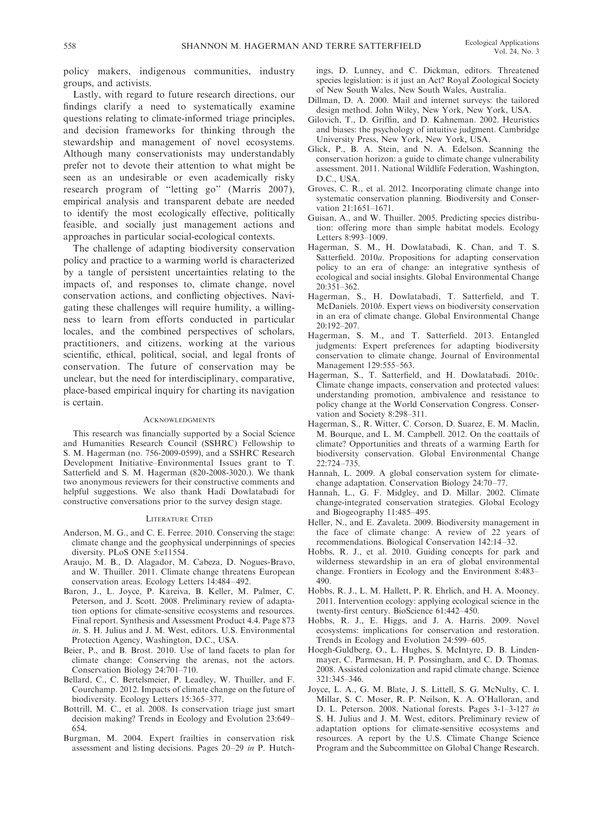Vol. 24, No. 3

policy makers, indigenous communities, industry groups, and activists.

Lastly, with regard to future research directions, our findings clarify a need to systematically examine questions relating to climate-informed triage principles, and decision frameworks for thinking through the stewardship and management of novel ecosystems. Although many conservationists may understandably prefer not to devote their attention to what might be seen as an undesirable or even academically risky research program of ''letting go'' (Marris 2007), empirical analysis and transparent debate are needed to identify the most ecologically effective, politically feasible, and socially just management actions and approaches in particular social-ecological contexts.

The challenge of adapting biodiversity conservation policy and practice to a warming world is characterized by a tangle of persistent uncertainties relating to the impacts of, and responses to, climate change, novel conservation actions, and conflicting objectives. Navigating these challenges will require humility, a willingness to learn from efforts conducted in particular locales, and the combined perspectives of scholars, practitioners, and citizens, working at the various scientific, ethical, political, social, and legal fronts of conservation. The future of conservation may be unclear, but the need for interdisciplinary, comparative, place-based empirical inquiry for charting its navigation is certain.

#### **ACKNOWLEDGMENTS**

This research was financially supported by a Social Science and Humanities Research Council (SSHRC) Fellowship to S. M. Hagerman (no. 756-2009-0599), and a SSHRC Research Development Initiative–Environmental Issues grant to T. Satterfield and S. M. Hagerman (820-2008-3020.). We thank two anonymous reviewers for their constructive comments and helpful suggestions. We also thank Hadi Dowlatabadi for constructive conversations prior to the survey design stage.

#### LITERATURE CITED

- Anderson, M. G., and C. E. Ferree. 2010. Conserving the stage: climate change and the geophysical underpinnings of species diversity. PLoS ONE 5:e11554.
- Araujo, M. B., D. Alagador, M. Cabeza, D. Nogues-Bravo, and W. Thuiller. 2011. Climate change threatens European conservation areas. Ecology Letters 14:484–492.
- Baron, J., L. Joyce, P. Kareiva, B. Keller, M. Palmer, C. Peterson, and J. Scott. 2008. Preliminary review of adaptation options for climate-sensitive ecosystems and resources. Final report. Synthesis and Assessment Product 4.4. Page 873 in. S. H. Julius and J. M. West, editors. U.S. Environmental Protection Agency, Washington, D.C., USA.
- Beier, P., and B. Brost. 2010. Use of land facets to plan for climate change: Conserving the arenas, not the actors. Conservation Biology 24:701–710.
- Bellard, C., C. Bertelsmeier, P. Leadley, W. Thuiller, and F. Courchamp. 2012. Impacts of climate change on the future of biodiversity. Ecology Letters 15:365–377.
- Bottrill, M. C., et al. 2008. Is conservation triage just smart decision making? Trends in Ecology and Evolution 23:649– 654.
- Burgman, M. 2004. Expert frailties in conservation risk assessment and listing decisions. Pages 20–29 in P. Hutch-

ings, D. Lunney, and C. Dickman, editors. Threatened species legislation: is it just an Act? Royal Zoological Society of New South Wales, New South Wales, Australia.

- Dillman, D. A. 2000. Mail and internet surveys: the tailored design method. John Wiley, New York, New York, USA.
- Gilovich, T., D. Griffin, and D. Kahneman. 2002. Heuristics and biases: the psychology of intuitive judgment. Cambridge University Press, New York, New York, USA.
- Glick, P., B. A. Stein, and N. A. Edelson. Scanning the conservation horizon: a guide to climate change vulnerability assessment. 2011. National Wildlife Federation, Washington, D.C., USA.
- Groves, C. R., et al. 2012. Incorporating climate change into systematic conservation planning. Biodiversity and Conservation 21:1651–1671.
- Guisan, A., and W. Thuiller. 2005. Predicting species distribution: offering more than simple habitat models. Ecology Letters 8:993–1009.
- Hagerman, S. M., H. Dowlatabadi, K. Chan, and T. S. Satterfield. 2010a. Propositions for adapting conservation policy to an era of change: an integrative synthesis of ecological and social insights. Global Environmental Change 20:351–362.
- Hagerman, S., H. Dowlatabadi, T. Satterfield, and T. McDaniels. 2010b. Expert views on biodiversity conservation in an era of climate change. Global Environmental Change 20:192–207.
- Hagerman, S. M., and T. Satterfield. 2013. Entangled judgments: Expert preferences for adapting biodiversity conservation to climate change. Journal of Environmental Management 129:555–563.
- Hagerman, S., T. Satterfield, and H. Dowlatabadi. 2010c. Climate change impacts, conservation and protected values: understanding promotion, ambivalence and resistance to policy change at the World Conservation Congress. Conservation and Society 8:298–311.
- Hagerman, S., R. Witter, C. Corson, D. Suarez, E. M. Maclin, M. Bourque, and L. M. Campbell. 2012. On the coattails of climate? Opportunities and threats of a warming Earth for biodiversity conservation. Global Environmental Change 22:724–735.
- Hannah, L. 2009. A global conservation system for climatechange adaptation. Conservation Biology 24:70–77.
- Hannah, L., G. F. Midgley, and D. Millar. 2002. Climate change-integrated conservation strategies. Global Ecology and Biogeography 11:485–495.
- Heller, N., and E. Zavaleta. 2009. Biodiversity management in the face of climate change: A review of 22 years of recommendations. Biological Conservation 142:14–32.
- Hobbs, R. J., et al. 2010. Guiding concepts for park and wilderness stewardship in an era of global environmental change. Frontiers in Ecology and the Environment 8:483– 490.
- Hobbs, R. J., L. M. Hallett, P. R. Ehrlich, and H. A. Mooney. 2011. Intervention ecology: applying ecological science in the twenty-first century. BioScience 61:442–450.
- Hobbs, R. J., E. Higgs, and J. A. Harris. 2009. Novel ecosystems: implications for conservation and restoration. Trends in Ecology and Evolution 24:599–605.
- Hoegh-Guldberg, O., L. Hughes, S. McIntyre, D. B. Lindenmayer, C. Parmesan, H. P. Possingham, and C. D. Thomas. 2008. Assisted colonization and rapid climate change. Science 321:345–346.
- Joyce, L. A., G. M. Blate, J. S. Littell, S. G. McNulty, C. I. Millar, S. C. Moser, R. P. Neilson, K. A. O'Halloran, and D. L. Peterson. 2008. National forests. Pages 3-1–3-127 in S. H. Julius and J. M. West, editors. Preliminary review of adaptation options for climate-sensitive ecosystems and resources. A report by the U.S. Climate Change Science Program and the Subcommittee on Global Change Research.